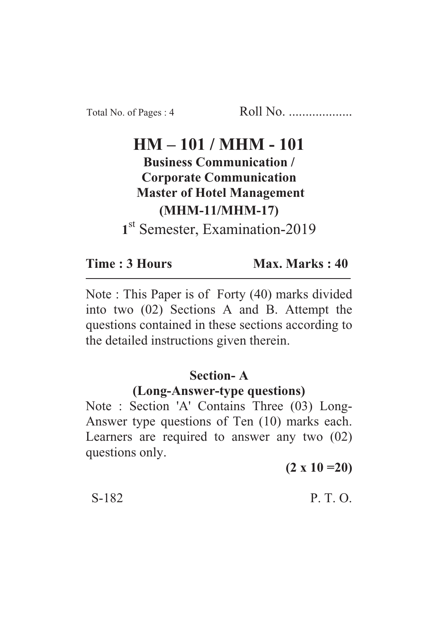# $HM = 101 / MHM = 101$

**Business Communication / Corporate Communication Master of Hotel Management (MHM-11/MHM-17) (MHM-11/MHM-17)**

st Semester, Examination-2019

#### Time: 3 Hours

Max. Marks: 40 **Time : 3 Hours Max. Marks : 40**

Note : This Paper is of Forty (40) marks divided into two (02) Sections A and B. Attempt the questions contained in these sections according to the detailed instructions given therein.

### **Section-A**

### **(Long-Answer-type questions)**

Note : Section 'A' Contains Three (03) Long-Answer type questions of Ten (10) marks each. Learners are required to answer any two (02) questions only.

**(2 x 10 =20)**

S-182 P. T. O.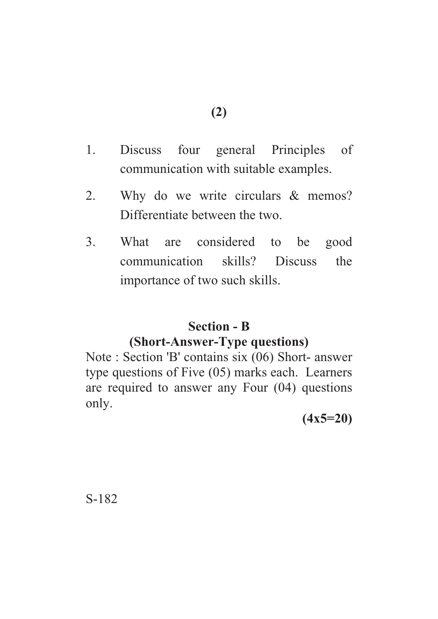- 1. Discuss four general Principles of communication with suitable examples.
- 2. Why do we write circulars & memos? Differentiate between the two.
- 3. What are considered to be good communication skills? Discuss the importance of two such skills.

# **Section - B**

### **(Short-Answer-Type questions)**

Note : Section 'B' contains six (06) Short- answer type questions of Five (05) marks each. Learners are required to answer any Four (04) questions only.

**(4x5=20)**

S-182